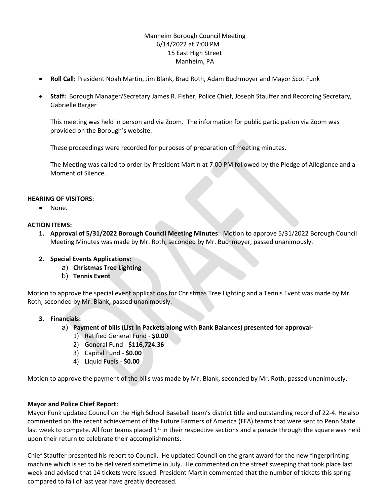## Manheim Borough Council Meeting 6/14/2022 at 7:00 PM 15 East High Street Manheim, PA

- **Roll Call:** President Noah Martin, Jim Blank, Brad Roth, Adam Buchmoyer and Mayor Scot Funk
- **Staff:** Borough Manager/Secretary James R. Fisher, Police Chief, Joseph Stauffer and Recording Secretary, Gabrielle Barger

This meeting was held in person and via Zoom. The information for public participation via Zoom was provided on the Borough's website.

These proceedings were recorded for purposes of preparation of meeting minutes.

The Meeting was called to order by President Martin at 7:00 PM followed by the Pledge of Allegiance and a Moment of Silence.

# **HEARING OF VISITORS**:

• None.

### **ACTION ITEMS:**

- **1. Approval of 5/31/2022 Borough Council Meeting Minutes**: Motion to approve 5/31/2022 Borough Council Meeting Minutes was made by Mr. Roth, seconded by Mr. Buchmoyer, passed unanimously.
- **2. Special Events Applications:**
	- a) **Christmas Tree Lighting**
	- b) **Tennis Event**

Motion to approve the special event applications for Christmas Tree Lighting and a Tennis Event was made by Mr. Roth, seconded by Mr. Blank, passed unanimously.

# **3. Financials:**

- a) **Payment of bills (List in Packets along with Bank Balances) presented for approval-**
	- 1) Ratified General Fund **\$0.00**
	- 2) General Fund **\$116,724.36**
	- 3) Capital Fund **\$0.00**
	- 4) Liquid Fuels **\$0.00**

Motion to approve the payment of the bills was made by Mr. Blank, seconded by Mr. Roth, passed unanimously.

# **Mayor and Police Chief Report:**

Mayor Funk updated Council on the High School Baseball team's district title and outstanding record of 22-4. He also commented on the recent achievement of the Future Farmers of America (FFA) teams that were sent to Penn State last week to compete. All four teams placed  $1<sup>st</sup>$  in their respective sections and a parade through the square was held upon their return to celebrate their accomplishments.

Chief Stauffer presented his report to Council. He updated Council on the grant award for the new fingerprinting machine which is set to be delivered sometime in July. He commented on the street sweeping that took place last week and advised that 14 tickets were issued. President Martin commented that the number of tickets this spring compared to fall of last year have greatly decreased.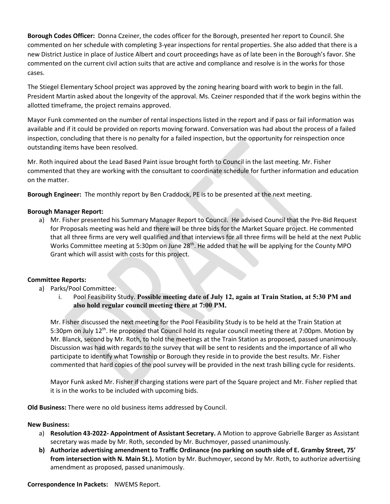**Borough Codes Officer:** Donna Czeiner, the codes officer for the Borough, presented her report to Council. She commented on her schedule with completing 3-year inspections for rental properties. She also added that there is a new District Justice in place of Justice Albert and court proceedings have as of late been in the Borough's favor. She commented on the current civil action suits that are active and compliance and resolve is in the works for those cases.

The Stiegel Elementary School project was approved by the zoning hearing board with work to begin in the fall. President Martin asked about the longevity of the approval. Ms. Czeiner responded that if the work begins within the allotted timeframe, the project remains approved.

Mayor Funk commented on the number of rental inspections listed in the report and if pass or fail information was available and if it could be provided on reports moving forward. Conversation was had about the process of a failed inspection, concluding that there is no penalty for a failed inspection, but the opportunity for reinspection once outstanding items have been resolved.

Mr. Roth inquired about the Lead Based Paint issue brought forth to Council in the last meeting. Mr. Fisher commented that they are working with the consultant to coordinate schedule for further information and education on the matter.

**Borough Engineer:** The monthly report by Ben Craddock, PE is to be presented at the next meeting.

### **Borough Manager Report:**

a) Mr. Fisher presented his Summary Manager Report to Council. He advised Council that the Pre-Bid Request for Proposals meeting was held and there will be three bids for the Market Square project. He commented that all three firms are very well qualified and that interviews for all three firms will be held at the next Public Works Committee meeting at 5:30pm on June 28<sup>th</sup>. He added that he will be applying for the County MPO Grant which will assist with costs for this project.

### **Committee Reports:**

- a) Parks/Pool Committee:
	- i. Pool Feasibility Study. **Possible meeting date of July 12, again at Train Station, at 5:30 PM and also hold regular council meeting there at 7:00 PM.**

Mr. Fisher discussed the next meeting for the Pool Feasibility Study is to be held at the Train Station at 5:30pm on July 12<sup>th</sup>. He proposed that Council hold its regular council meeting there at 7:00pm. Motion by Mr. Blanck, second by Mr. Roth, to hold the meetings at the Train Station as proposed, passed unanimously. Discussion was had with regards to the survey that will be sent to residents and the importance of all who participate to identify what Township or Borough they reside in to provide the best results. Mr. Fisher commented that hard copies of the pool survey will be provided in the next trash billing cycle for residents.

Mayor Funk asked Mr. Fisher if charging stations were part of the Square project and Mr. Fisher replied that it is in the works to be included with upcoming bids.

**Old Business:** There were no old business items addressed by Council.

### **New Business:**

- a) **Resolution 43-2022- Appointment of Assistant Secretary.** A Motion to approve Gabrielle Barger as Assistant secretary was made by Mr. Roth, seconded by Mr. Buchmoyer, passed unanimously.
- **b) Authorize advertising amendment to Traffic Ordinance (no parking on south side of E. Gramby Street, 75' from intersection with N. Main St.).** Motion by Mr. Buchmoyer, second by Mr. Roth, to authorize advertising amendment as proposed, passed unanimously.

#### **Correspondence In Packets:** NWEMS Report.